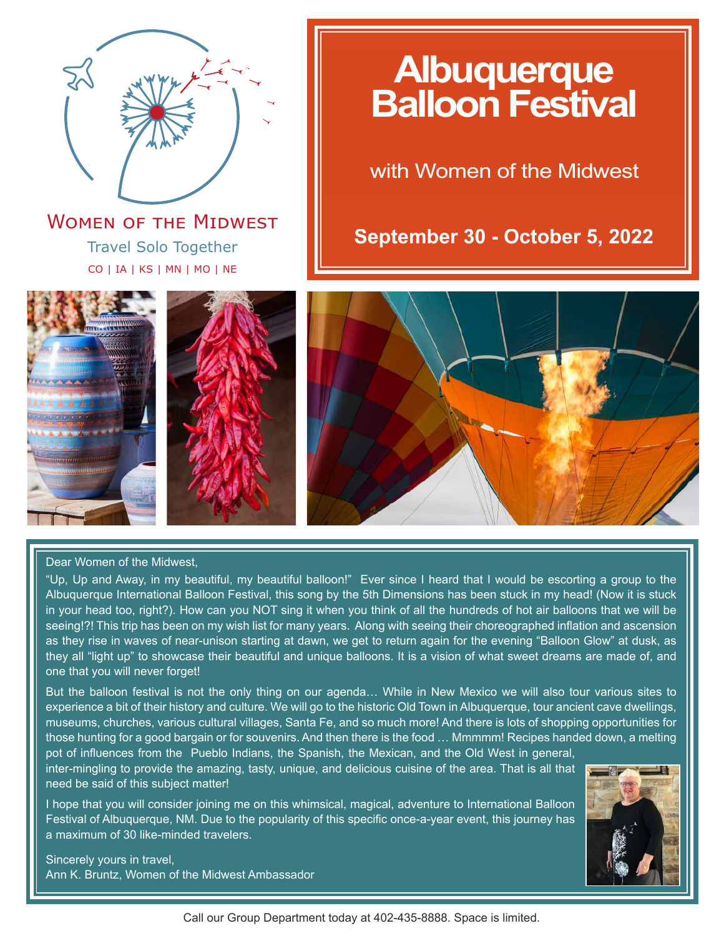

Travel Solo Together CO | IA | KS | MN | MO | NE **WOMEN OF THE MIDWEST** 

# **Albuquerque Balloon Festival**

with Women of the Midwest

**September 30 - October 5, 2022**



### Dear Women of the Midwest,

"Up, Up and Away, in my beautiful, my beautiful balloon!" Ever since I heard that I would be escorting a group to the Albuquerque International Balloon Festival, this song by the 5th Dimensions has been stuck in my head! (Now it is stuck in your head too, right?). How can you NOT sing it when you think of all the hundreds of hot air balloons that we will be seeing!?! This trip has been on my wish list for many years. Along with seeing their choreographed inflation and ascension as they rise in waves of near-unison starting at dawn, we get to return again for the evening "Balloon Glow" at dusk, as they all "light up" to showcase their beautiful and unique balloons. It is a vision of what sweet dreams are made of, and one that you will never forget!

But the balloon festival is not the only thing on our agenda… While in New Mexico we will also tour various sites to experience a bit of their history and culture. We will go to the historic Old Town in Albuquerque, tour ancient cave dwellings, museums, churches, various cultural villages, Santa Fe, and so much more! And there is lots of shopping opportunities for those hunting for a good bargain or for souvenirs. And then there is the food … Mmmmm! Recipes handed down, a melting pot of influences from the Pueblo Indians, the Spanish, the Mexican, and the Old West in general,

inter-mingling to provide the amazing, tasty, unique, and delicious cuisine of the area. That is all that need be said of this subject matter!

I hope that you will consider joining me on this whimsical, magical, adventure to International Balloon Festival of Albuquerque, NM. Due to the popularity of this specific once-a-year event, this journey has a maximum of 30 like-minded travelers.



Sincerely yours in travel, Ann K. Bruntz, Women of the Midwest Ambassador

Call our Group Department today at 402-435-8888. Space is limited.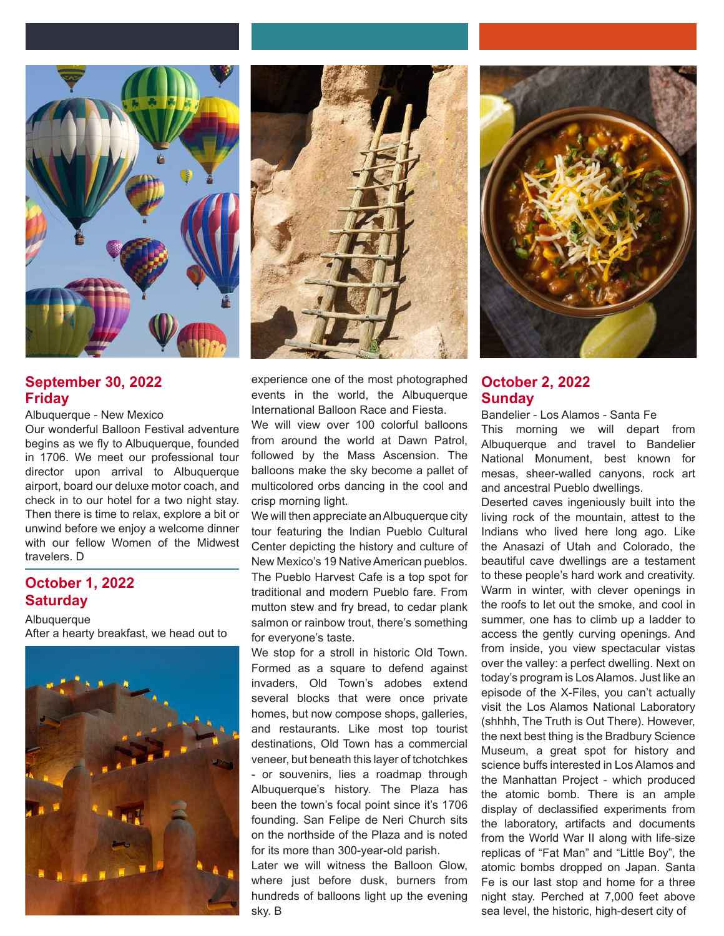

**September 30, 2022 Friday**

Albuquerque - New Mexico

Our wonderful Balloon Festival adventure begins as we fly to Albuquerque, founded in 1706. We meet our professional tour director upon arrival to Albuquerque airport, board our deluxe motor coach, and check in to our hotel for a two night stay. Then there is time to relax, explore a bit or unwind before we enjoy a welcome dinner with our fellow Women of the Midwest travelers. D

# **October 1, 2022 Saturday**

**Albuquerque** After a hearty breakfast, we head out to





experience one of the most photographed events in the world, the Albuquerque International Balloon Race and Fiesta.

We will view over 100 colorful balloons from around the world at Dawn Patrol, followed by the Mass Ascension. The balloons make the sky become a pallet of multicolored orbs dancing in the cool and crisp morning light.

We will then appreciate an Albuquerque city tour featuring the Indian Pueblo Cultural Center depicting the history and culture of New Mexico's 19 Native American pueblos. The Pueblo Harvest Cafe is a top spot for traditional and modern Pueblo fare. From mutton stew and fry bread, to cedar plank salmon or rainbow trout, there's something for everyone's taste.

We stop for a stroll in historic Old Town. Formed as a square to defend against invaders, Old Town's adobes extend several blocks that were once private homes, but now compose shops, galleries, and restaurants. Like most top tourist destinations, Old Town has a commercial veneer, but beneath this layer of tchotchkes - or souvenirs, lies a roadmap through Albuquerque's history. The Plaza has been the town's focal point since it's 1706 founding. San Felipe de Neri Church sits on the northside of the Plaza and is noted for its more than 300-year-old parish.

Later we will witness the Balloon Glow, where just before dusk, burners from hundreds of balloons light up the evening sky. B



# **October 2, 2022 Sunday**

Bandelier - Los Alamos - Santa Fe This morning we will depart from Albuquerque and travel to Bandelier National Monument, best known for mesas, sheer-walled canyons, rock art and ancestral Pueblo dwellings.

Deserted caves ingeniously built into the living rock of the mountain, attest to the Indians who lived here long ago. Like the Anasazi of Utah and Colorado, the beautiful cave dwellings are a testament to these people's hard work and creativity. Warm in winter, with clever openings in the roofs to let out the smoke, and cool in summer, one has to climb up a ladder to access the gently curving openings. And from inside, you view spectacular vistas over the valley: a perfect dwelling. Next on today's program is Los Alamos. Just like an episode of the X-Files, you can't actually visit the Los Alamos National Laboratory (shhhh, The Truth is Out There). However, the next best thing is the Bradbury Science Museum, a great spot for history and science buffs interested in Los Alamos and the Manhattan Project - which produced the atomic bomb. There is an ample display of declassified experiments from the laboratory, artifacts and documents from the World War II along with life-size replicas of "Fat Man" and "Little Boy", the atomic bombs dropped on Japan. Santa Fe is our last stop and home for a three night stay. Perched at 7,000 feet above sea level, the historic, high-desert city of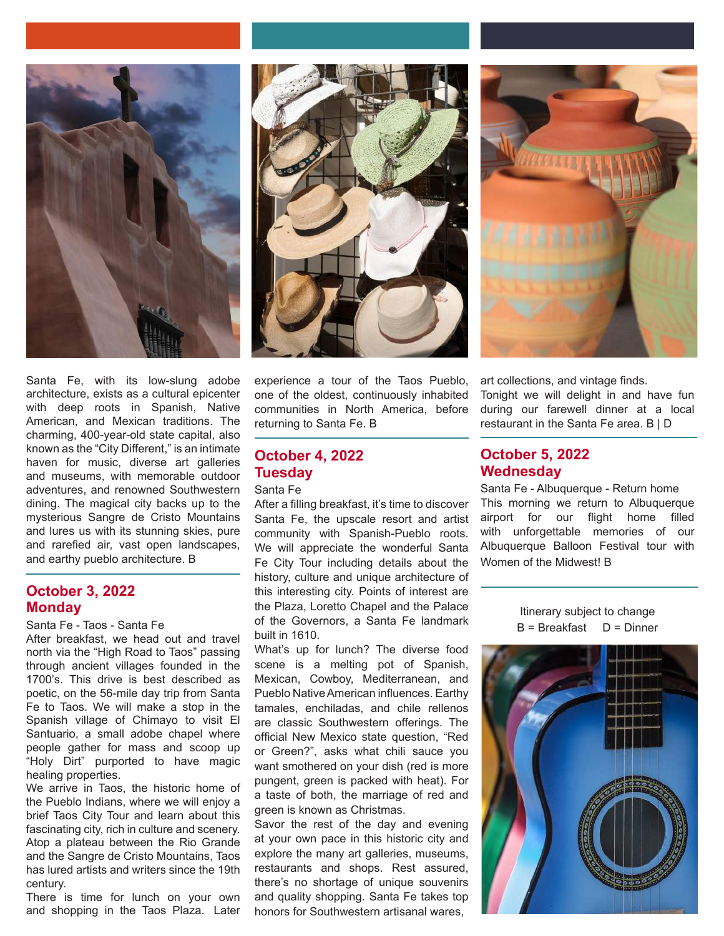

Santa Fe, with its low-slung adobe architecture, exists as a cultural epicenter with deep roots in Spanish, Native American, and Mexican traditions. The charming, 400-year-old state capital, also known as the "City Different," is an intimate haven for music, diverse art galleries and museums, with memorable outdoor adventures, and renowned Southwestern dining. The magical city backs up to the mysterious Sangre de Cristo Mountains and lures us with its stunning skies, pure and rarefied air, vast open landscapes, and earthy pueblo architecture. B

### **October 3, 2022 Monday**

Santa Fe - Taos - Santa Fe

After breakfast, we head out and travel north via the "High Road to Taos" passing through ancient villages founded in the 1700's. This drive is best described as poetic, on the 56-mile day trip from Santa Fe to Taos. We will make a stop in the Spanish village of Chimayo to visit El Santuario, a small adobe chapel where people gather for mass and scoop up "Holy Dirt" purported to have magic healing properties.

We arrive in Taos, the historic home of the Pueblo Indians, where we will enjoy a brief Taos City Tour and learn about this fascinating city, rich in culture and scenery. Atop a plateau between the Rio Grande and the Sangre de Cristo Mountains, Taos has lured artists and writers since the 19th century.

There is time for lunch on your own and shopping in the Taos Plaza. Later



experience a tour of the Taos Pueblo, one of the oldest, continuously inhabited communities in North America, before returning to Santa Fe. B

# **October 4, 2022 Tuesday**

### Santa Fe

After a filling breakfast, it's time to discover Santa Fe, the upscale resort and artist community with Spanish-Pueblo roots. We will appreciate the wonderful Santa Fe City Tour including details about the history, culture and unique architecture of this interesting city. Points of interest are the Plaza, Loretto Chapel and the Palace of the Governors, a Santa Fe landmark built in 1610.

What's up for lunch? The diverse food scene is a melting pot of Spanish, Mexican, Cowboy, Mediterranean, and Pueblo Native American influences. Earthy tamales, enchiladas, and chile rellenos are classic Southwestern offerings. The official New Mexico state question, "Red or Green?", asks what chili sauce you want smothered on your dish (red is more pungent, green is packed with heat). For a taste of both, the marriage of red and green is known as Christmas.

Savor the rest of the day and evening at your own pace in this historic city and explore the many art galleries, museums, restaurants and shops. Rest assured, there's no shortage of unique souvenirs and quality shopping. Santa Fe takes top honors for Southwestern artisanal wares,

art collections, and vintage finds. Tonight we will delight in and have fun during our farewell dinner at a local restaurant in the Santa Fe area. B | D

### **October 5, 2022 Wednesday**

Santa Fe - Albuquerque - Return home This morning we return to Albuquerque airport for our flight home filled with unforgettable memories of our Albuquerque Balloon Festival tour with Women of the Midwest! B

> Itinerary subject to change  $B = B$ reakfast  $D = D$ inner

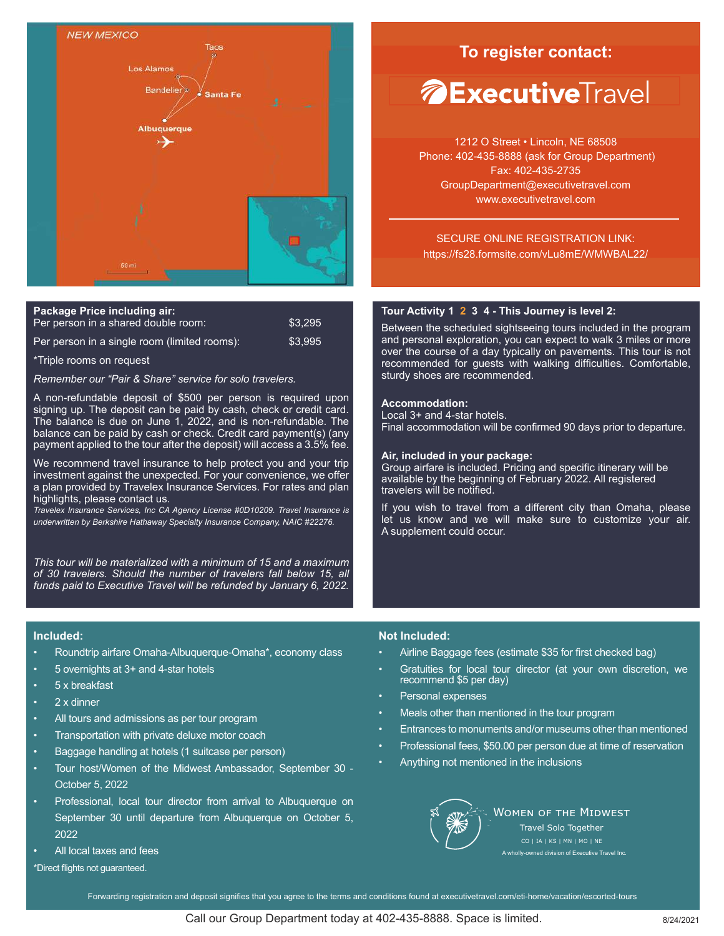

| <b>Package Price including air:</b>          |               |
|----------------------------------------------|---------------|
| Per person in a shared double room:          | \$3.295       |
| Der nersen in a eingle reem (limited reems): | <b>CO ODE</b> |

er person in a single room (limited rooms)

\*Triple rooms on request

*Remember our "Pair & Share" service for solo travelers.*

A non-refundable deposit of \$500 per person is required upon signing up. The deposit can be paid by cash, check or credit card. The balance is due on June 1, 2022, and is non-refundable. The balance can be paid by cash or check. Credit card payment(s) (any payment applied to the tour after the deposit) will access a 3.5% fee.

We recommend travel insurance to help protect you and your trip investment against the unexpected. For your convenience, we offer a plan provided by Travelex Insurance Services. For rates and plan highlights, please contact us.

*Travelex Insurance Services, Inc CA Agency License #0D10209. Travel Insurance is underwritten by Berkshire Hathaway Specialty Insurance Company, NAIC #22276.*

*This tour will be materialized with a minimum of 15 and a maximum of 30 travelers. Should the number of travelers fall below 15, all funds paid to Executive Travel will be refunded by January 6, 2022.*

# **To register contact:**

# *<b>AExecutiveTravel*

1212 O Street • Lincoln, NE 68508 Phone: 402-435-8888 (ask for Group Department) Fax: 402-435-2735 GroupDepartment@executivetravel.com www.executivetravel.com

SECURE ONLINE REGISTRATION LINK: https://fs28.formsite.com/vLu8mE/WMWBAL22/

### **Tour Activity 1 2 3 4 - This Journey is level 2:**

Between the scheduled sightseeing tours included in the program and personal exploration, you can expect to walk 3 miles or more over the course of a day typically on pavements. This tour is not recommended for guests with walking difficulties. Comfortable, sturdy shoes are recommended.

### **Accommodation:**

Local 3+ and 4-star hotels. Final accommodation will be confirmed 90 days prior to departure.

### **Air, included in your package:**

Group airfare is included. Pricing and specific itinerary will be available by the beginning of February 2022. All registered travelers will be notified.

If you wish to travel from a different city than Omaha, please let us know and we will make sure to customize your air. A supplement could occur.

### **Included:**

- Roundtrip airfare Omaha-Albuquerque-Omaha\*, economy class
- 5 overnights at 3+ and 4-star hotels
- 5 x breakfast
- 2 x dinner
- All tours and admissions as per tour program
- Transportation with private deluxe motor coach
- Baggage handling at hotels (1 suitcase per person)
- Tour host/Women of the Midwest Ambassador, September 30 October 5, 2022
- Professional, local tour director from arrival to Albuquerque on September 30 until departure from Albuquerque on October 5, 2022
- All local taxes and fees
- \*Direct flights not guaranteed.

### **Not Included:**

- Airline Baggage fees (estimate \$35 for first checked bag)
- Gratuities for local tour director (at your own discretion, we recommend \$5 per day)
- Personal expenses
- Meals other than mentioned in the tour program
- Entrances to monuments and/or museums other than mentioned
- Professional fees, \$50.00 per person due at time of reservation
- Anything not mentioned in the inclusions



WOMEN OF THE MIDWEST Travel Solo Together CO | IA | KS | MN | MO | NE A wholly-owned division of Executive Travel Inc.

Forwarding registration and deposit signifies that you agree to the terms and conditions found at executivetravel.com/eti-home/vacation/escorted-tours